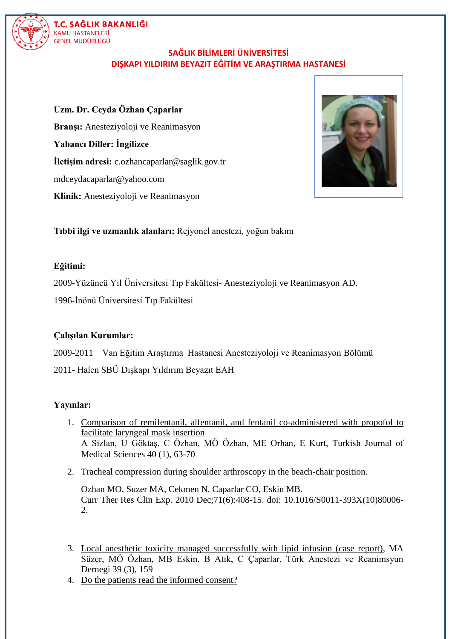

# T.C. SAĞLIK BAKANLIĞI KAMU HASTANELER<mark>İ</mark><br>GENEL MÜDÜRLÜĞÜ

## **SAĞLIK BİLİMLERİ ÜNİVERSİTESİ DIŞKAPI YILDIRIM BEYAZIT EĞİTİM VE ARAŞTIRMA HASTANESİ**

**Uzm. Dr. Ceyda Özhan Çaparlar Branşı:** Anesteziyoloji ve Reanimasyon **Yabancı Diller: İngilizce İletişim adresi:** c.ozhancaparlar@saglik.gov.tr mdceydacaparlar@yahoo.com **Klinik:** Anesteziyoloji ve Reanimasyon



**Tıbbi ilgi ve uzmanlık alanları:** Rejyonel anestezi, yoğun bakım

#### **Eğitimi:**

2009-Yüzüncü Yıl Üniversitesi Tıp Fakültesi- Anesteziyoloji ve Reanimasyon AD.

1996-İnönü Üniversitesi Tıp Fakültesi

#### **Çalışılan Kurumlar:**

2009-2011 Van Eğitim Araştırma Hastanesi Anesteziyoloji ve Reanimasyon Bölümü

2011- Halen SBÜ Dışkapı Yıldırım Beyazıt EAH

#### **Yayınlar:**

- 1. [Comparison of remifentanil, alfentanil, and fentanil co-administered with propofol](javascript:void(0)) to [facilitate laryngeal mask insertion](javascript:void(0)) A Sizlan, U Göktaş, C Özhan, MÖ Özhan, ME Orhan, E Kurt, Turkish Journal of Medical Sciences 40 (1), 63-70
- 2. [Tracheal compression during shoulder arthroscopy](https://www.ncbi.nlm.nih.gov/pubmed/24688159) in the beach-chair position.

Ozhan MO, Suzer MA, Cekmen N, Caparlar CO, Eskin MB. Curr Ther Res Clin Exp. 2010 Dec;71(6):408-15. doi: 10.1016/S0011-393X(10)80006- 2.

- 3. [Local anesthetic toxicity managed successfully with lipid infusion \(case report\),](javascript:void(0)) MA Süzer, MÖ Özhan, MB Eskin, B Atik, C Çaparlar, Türk Anestezi ve Reanimsyun Dernegi 39 (3), 159
- 4. [Do the patients read the informed consent?](https://www.ncbi.nlm.nih.gov/pubmed/25207184)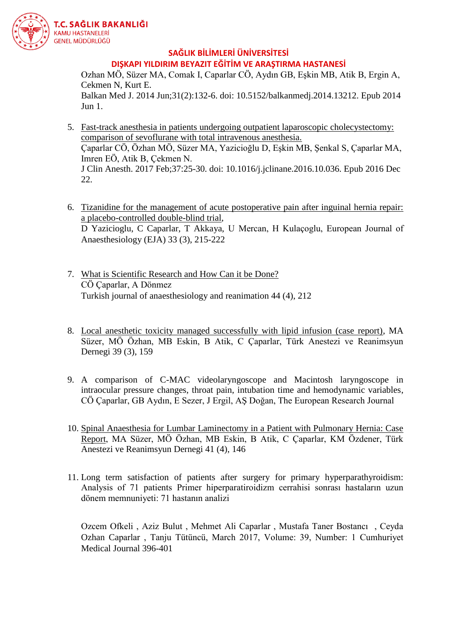

**SAĞLIK BİLİMLERİ ÜNİVERSİTESİ DIŞKAPI YILDIRIM BEYAZIT EĞİTİM VE ARAŞTIRMA HASTANESİ**

Ozhan MÖ, Süzer MA, Comak I, Caparlar CÖ, Aydın GB, Eşkin MB, Atik B, Ergin A, Cekmen N, Kurt E. Balkan Med J. 2014 Jun;31(2):132-6. doi: 10.5152/balkanmedj.2014.13212. Epub 2014 Jun 1.

- 5. Fast-track anesthesia in patients [undergoing outpatient laparoscopic cholecystectomy:](https://www.ncbi.nlm.nih.gov/pubmed/28235523)  [comparison of sevoflurane with total intravenous anesthesia.](https://www.ncbi.nlm.nih.gov/pubmed/28235523) Çaparlar CÖ, Özhan MÖ, Süzer MA, Yazicioğlu D, Eşkin MB, Şenkal S, Çaparlar MA, Imren EÖ, Atik B, Çekmen N. J Clin Anesth. 2017 Feb;37:25-30. doi: 10.1016/j.jclinane.2016.10.036. Epub 2016 Dec 22.
- 6. [Tizanidine for the management of acute postoperative pain after inguinal hernia repair:](javascript:void(0))  [a placebo-controlled double-blind trial,](javascript:void(0)) D Yazicioglu, C Caparlar, T Akkaya, U Mercan, H Kulaçoglu, European Journal of Anaesthesiology (EJA) 33 (3), 215-222
- 7. [What is Scientific Research and How Can it be Done?](javascript:void(0)) CÖ Çaparlar, A Dönmez Turkish journal of anaesthesiology and reanimation 44 (4), 212
- 8. [Local anesthetic toxicity managed successfully with lipid infusion \(case report\),](javascript:void(0)) MA Süzer, MÖ Özhan, MB Eskin, B Atik, C Çaparlar, Türk Anestezi ve Reanimsyun Dernegi 39 (3), 159
- 9. [A comparison of C-MAC videolaryngoscope and Macintosh laryngoscope in](javascript:void(0))  [intraocular pressure changes, throat pain, intubation time and hemodynamic variables,](javascript:void(0)) CÖ Çaparlar, GB Aydın, E Sezer, J Ergil, AŞ Doğan, The European Research Journal
- 10. [Spinal Anaesthesia for Lumbar Laminectomy in a Patient with Pulmonary Hernia: Case](javascript:void(0))  [Report,](javascript:void(0)) MA Süzer, MÖ Özhan, MB Eskin, B Atik, C Çaparlar, KM Özdener, Türk Anestezi ve Reanimsyun Dernegi 41 (4), 146
- 11. Long term satisfaction of patients after surgery for primary hyperparathyroidism: Analysis of 71 patients Primer hiperparatiroidizm cerrahisi sonrası hastaların uzun dönem memnuniyeti: 71 hastanın analizi

Ozcem Ofkeli , Aziz Bulut , Mehmet Ali Caparlar , Mustafa Taner Bostancı , Ceyda Ozhan Caparlar , Tanju Tütüncü, March 2017, Volume: 39, Number: 1 Cumhuriyet Medical Journal 396-401